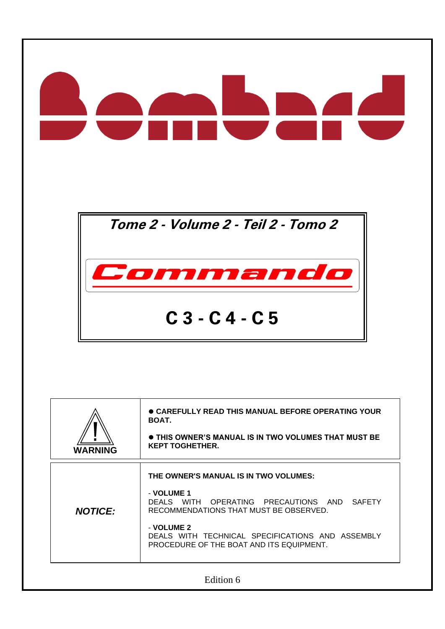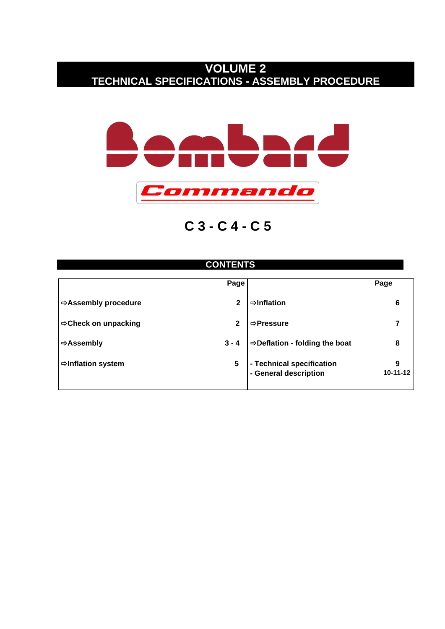# **VOLUME 2 TECHNICAL SPECIFICATIONS - ASSEMBLY PROCEDURE**



**C 3 - C 4 - C 5**

## **CONTENTS**

|                                | Page         |                                                    | Page            |
|--------------------------------|--------------|----------------------------------------------------|-----------------|
| <b>⇒Assembly procedure</b>     | $\mathbf{2}$ | $\Rightarrow$ Inflation                            | 6               |
| <b>⇒Check on unpacking</b>     | $\mathbf{2}$ | ⇒Pressure                                          |                 |
| $\Rightarrow$ Assembly         | $3 - 4$      | <b>⇒Deflation - folding the boat</b>               | 8               |
| $\Rightarrow$ Inflation system | 5            | - Technical specification<br>- General description | 9<br>$10-11-12$ |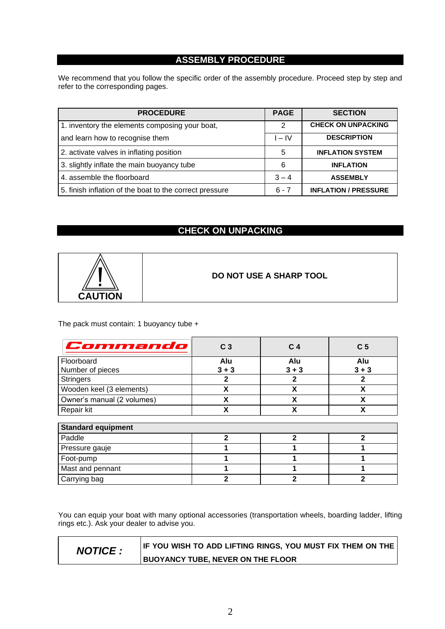### **ASSEMBLY PROCEDURE**

We recommend that you follow the specific order of the assembly procedure. Proceed step by step and refer to the corresponding pages.

| <b>PROCEDURE</b>                                        | <b>PAGE</b> | <b>SECTION</b>              |
|---------------------------------------------------------|-------------|-----------------------------|
| 1. inventory the elements composing your boat,          | 2           | <b>CHECK ON UNPACKING</b>   |
| and learn how to recognise them                         | $I - IV$    | <b>DESCRIPTION</b>          |
| 2. activate valves in inflating position                | 5           | <b>INFLATION SYSTEM</b>     |
| 3. slightly inflate the main buoyancy tube              | 6           | <b>INFLATION</b>            |
| 4. assemble the floorboard                              | $3 - 4$     | <b>ASSEMBLY</b>             |
| 5. finish inflation of the boat to the correct pressure | $6 - 7$     | <b>INFLATION / PRESSURE</b> |

### **CHECK ON UNPACKING**



**DO NOT USE A SHARP TOOL**

The pack must contain: 1 buoyancy tube +

| Commando                   | C <sub>3</sub> | C <sub>4</sub> | C <sub>5</sub> |
|----------------------------|----------------|----------------|----------------|
| Floorboard                 | Alu            | Alu            | Alu            |
| Number of pieces           | $3 + 3$        | $3 + 3$        | $3 + 3$        |
| <b>Stringers</b>           | $\mathbf{2}$   | 2              | 2              |
| Wooden keel (3 elements)   | X              | X              | X              |
| Owner's manual (2 volumes) | X              | X              | X              |
| Repair kit                 | X              | X              | χ              |
| <b>Standard equipment</b>  |                |                |                |
| Paddle                     | $\mathbf{c}$   | $\mathbf{c}$   | 2              |
| Pressure gauje             |                |                |                |
| Foot-pump                  |                |                |                |
| Mast and pennant           |                |                |                |
| Carrying bag               | 2              | 2              |                |

You can equip your boat with many optional accessories (transportation wheels, boarding ladder, lifting rings etc.). Ask your dealer to advise you.

**NOTICE : IF YOU WISH TO ADD LIFTING RINGS, YOU MUST FIX THEM ON THE BUOYANCY TUBE, NEVER ON THE FLOOR**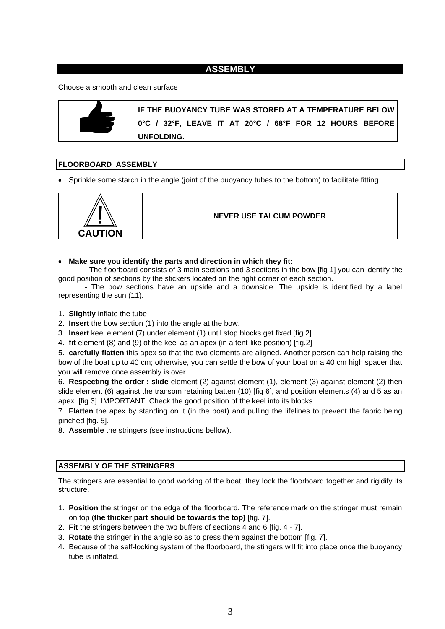### **ASSEMBLY**

#### Choose a smooth and clean surface



**IF THE BUOYANCY TUBE WAS STORED AT A TEMPERATURE BELOW 0°C / 32°F, LEAVE IT AT 20°C / 68°F FOR 12 HOURS BEFORE UNFOLDING.**

#### **FLOORBOARD ASSEMBLY**

• Sprinkle some starch in the angle (joint of the buoyancy tubes to the bottom) to facilitate fitting.



#### **NEVER USE TALCUM POWDER**

• **Make sure you identify the parts and direction in which they fit:**

- The floorboard consists of 3 main sections and 3 sections in the bow [fig 1] you can identify the good position of sections by the stickers located on the right corner of each section.

- The bow sections have an upside and a downside. The upside is identified by a label representing the sun (11).

- 1. **Slightly** inflate the tube
- 2. **Insert** the bow section (1) into the angle at the bow.
- 3. **Insert** keel element (7) under element (1) until stop blocks get fixed [fig.2]

4. **fit** element (8) and (9) of the keel as an apex (in a tent-like position) [fig.2]

5. **carefully flatten** this apex so that the two elements are aligned. Another person can help raising the bow of the boat up to 40 cm; otherwise, you can settle the bow of your boat on a 40 cm high spacer that you will remove once assembly is over.

6. **Respecting the order : slide** element (2) against element (1), element (3) against element (2) then slide element (6) against the transom retaining batten (10) [fig 6], and position elements (4) and 5 as an apex. [fig.3]. IMPORTANT: Check the good position of the keel into its blocks.

7. **Flatten** the apex by standing on it (in the boat) and pulling the lifelines to prevent the fabric being pinched [fig. 5].

8. **Assemble** the stringers (see instructions bellow).

#### **ASSEMBLY OF THE STRINGERS**

The stringers are essential to good working of the boat: they lock the floorboard together and rigidify its structure.

- 1. **Position** the stringer on the edge of the floorboard. The reference mark on the stringer must remain on top (**the thicker part should be towards the top)** [fig. 7].
- 2. **Fit** the stringers between the two buffers of sections 4 and 6 [fig. 4 7].
- 3. **Rotate** the stringer in the angle so as to press them against the bottom [fig. 7].
- 4. Because of the self-locking system of the floorboard, the stingers will fit into place once the buoyancy tube is inflated.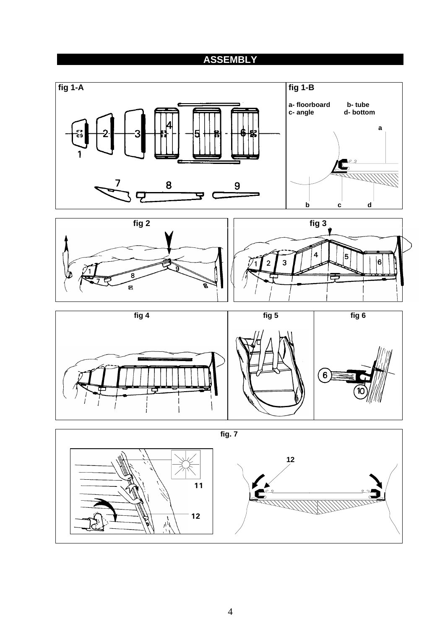# **ASSEMBLY**









4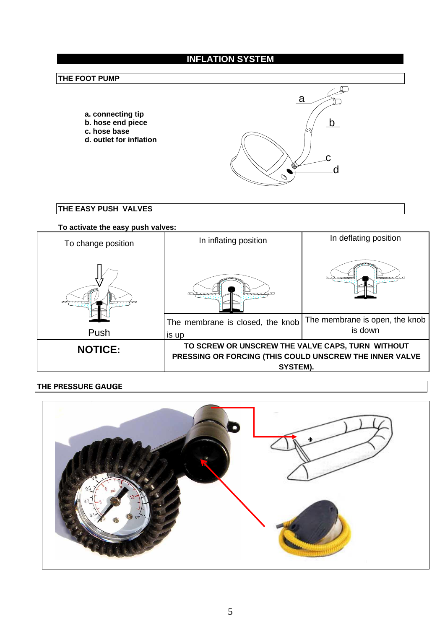# **INFLATION SYSTEM**

### **THE FOOT PUMP**

- **a. connecting tip b. hose end piece**
- **c. hose base**
- **d. outlet for inflation**



**THE EASY PUSH VALVES**

### **To activate the easy push valves:**

| To change position | In inflating position                                                                                                   | In deflating position                     |  |
|--------------------|-------------------------------------------------------------------------------------------------------------------------|-------------------------------------------|--|
|                    | ,,,,,,,,<br>____                                                                                                        |                                           |  |
|                    | The membrane is closed, the knob                                                                                        | The membrane is open, the knob<br>is down |  |
| Push               | is up                                                                                                                   |                                           |  |
| <b>NOTICE:</b>     | TO SCREW OR UNSCREW THE VALVE CAPS, TURN WITHOUT<br>PRESSING OR FORCING (THIS COULD UNSCREW THE INNER VALVE<br>SYSTEM). |                                           |  |

### **THE PRESSURE GAUGE**

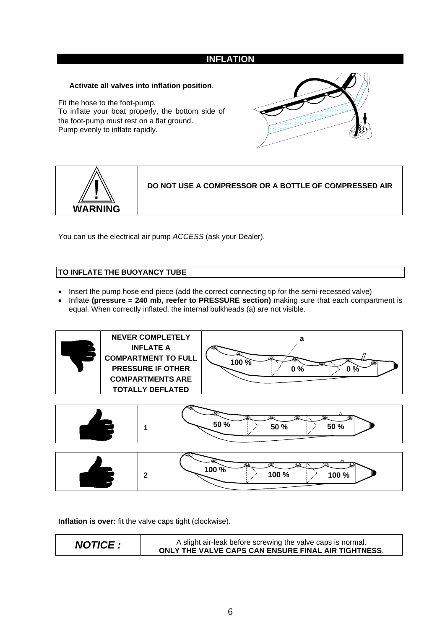### **INFLATION**

#### **Activate all valves into inflation position**.

Fit the hose to the foot-pump. To inflate your boat properly, the bottom side of the foot-pump must rest on a flat ground. Pump evenly to inflate rapidly.





**DO NOT USE A COMPRESSOR OR A BOTTLE OF COMPRESSED AIR**

You can us the electrical air pump *ACCESS* (ask your Dealer).

### **TO INFLATE THE BUOYANCY TUBE**

- Insert the pump hose end piece (add the correct connecting tip for the semi-recessed valve)
- Inflate **(pressure = 240 mb, reefer to PRESSURE section)** making sure that each compartment is equal. When correctly inflated, the internal bulkheads (a) are not visible.





|  | سنبصر<br>ඏ<br>(@)<br>(G)<br>(C)<br>100 %<br>100 %<br>100 % |
|--|------------------------------------------------------------|
|--|------------------------------------------------------------|

**Inflation is over:** fit the valve caps tight (clockwise).

*NOTICE :* A slight air-leak before screwing the valve caps is normal. **ONLY THE VALVE CAPS CAN ENSURE FINAL AIR TIGHTNESS**.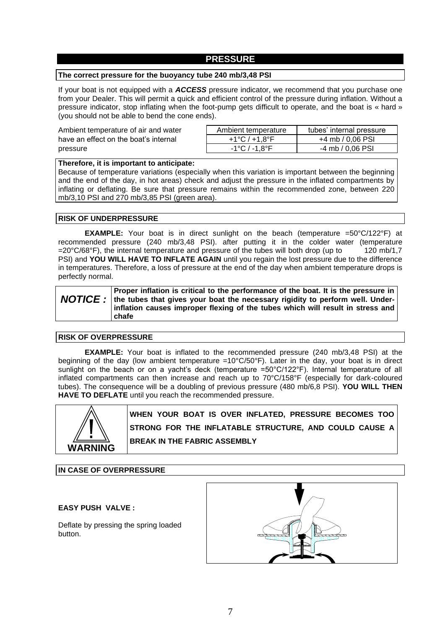#### **PRESSURE**

#### **The correct pressure for the buoyancy tube 240 mb/3,48 PSI**

If your boat is not equipped with a *ACCESS* pressure indicator, we recommend that you purchase one from your Dealer. This will permit a quick and efficient control of the pressure during inflation. Without a pressure indicator, stop inflating when the foot-pump gets difficult to operate, and the boat is « hard » (you should not be able to bend the cone ends).

| Ambient temperature of air and water  | Ambient temperature | tubes' internal pressure |
|---------------------------------------|---------------------|--------------------------|
| have an effect on the boat's internal | +1°C / +1.8°F       | +4 mb / 0,06 PSI         |
| pressure                              | -1°C / -1.8°F       | -4 mb / 0.06 PSI         |

#### **Therefore, it is important to anticipate:**

Because of temperature variations (especially when this variation is important between the beginning and the end of the day, in hot areas) check and adjust the pressure in the inflated compartments by inflating or deflating. Be sure that pressure remains within the recommended zone, between 220 mb/3,10 PSI and 270 mb/3,85 PSI (green area).

#### **RISK OF UNDERPRESSURE**

**EXAMPLE:** Your boat is in direct sunlight on the beach (temperature =50°C/122°F) at recommended pressure (240 mb/3,48 PSI). after putting it in the colder water (temperature =  $20^{\circ}$ C/68°F), the internal temperature and pressure of the tubes will both drop (up to 120 mb/1.7  $=20^{\circ}$ C/68 $^{\circ}$ F), the internal temperature and pressure of the tubes will both drop (up to PSI) and **YOU WILL HAVE TO INFLATE AGAIN** until you regain the lost pressure due to the difference in temperatures. Therefore, a loss of pressure at the end of the day when ambient temperature drops is perfectly normal.

#### *NOTICE :* **Proper inflation is critical to the performance of the boat. It is the pressure in the tubes that gives your boat the necessary rigidity to perform well. Underinflation causes improper flexing of the tubes which will result in stress and chafe**

#### **RISK OF OVERPRESSURE**

**EXAMPLE:** Your boat is inflated to the recommended pressure (240 mb/3,48 PSI) at the beginning of the day (low ambient temperature = $10^{\circ}C/50^{\circ}F$ ). Later in the day, your boat is in direct sunlight on the beach or on a yacht's deck (temperature =50°C/122°F). Internal temperature of all inflated compartments can then increase and reach up to 70°C/158°F (especially for dark-coloured tubes). The consequence will be a doubling of previous pressure (480 mb/6,8 PSI). **YOU WILL THEN HAVE TO DEFLATE** until you reach the recommended pressure.



**WHEN YOUR BOAT IS OVER INFLATED, PRESSURE BECOMES TOO STRONG FOR THE INFLATABLE STRUCTURE, AND COULD CAUSE A BREAK IN THE FABRIC ASSEMBLY**

**IN CASE OF OVERPRESSURE**

#### **EASY PUSH VALVE :**

Deflate by pressing the spring loaded button.

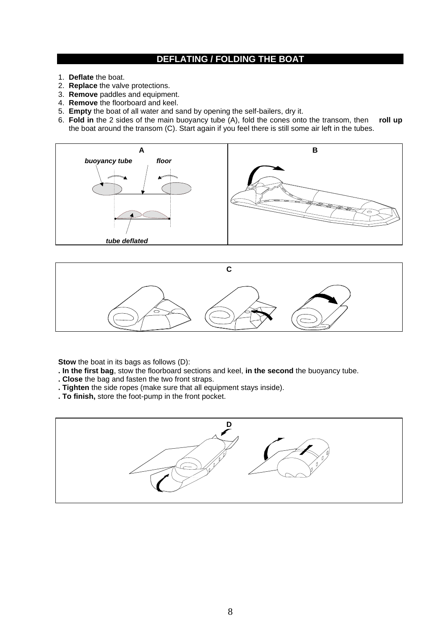### **DEFLATING / FOLDING THE BOAT**

- 1. **Deflate** the boat.
- 2. **Replace** the valve protections.
- 3. **Remove** paddles and equipment.
- 4. **Remove** the floorboard and keel.
- 5. **Empty** the boat of all water and sand by opening the self-bailers, dry it.
- 6. **Fold in** the 2 sides of the main buoyancy tube (A), fold the cones onto the transom, then **roll up** the boat around the transom (C). Start again if you feel there is still some air left in the tubes.





**Stow** the boat in its bags as follows (D):

**. In the first bag**, stow the floorboard sections and keel, **in the second** the buoyancy tube.

- **. Close** the bag and fasten the two front straps.
- **. Tighten** the side ropes (make sure that all equipment stays inside).
- **. To finish,** store the foot-pump in the front pocket.

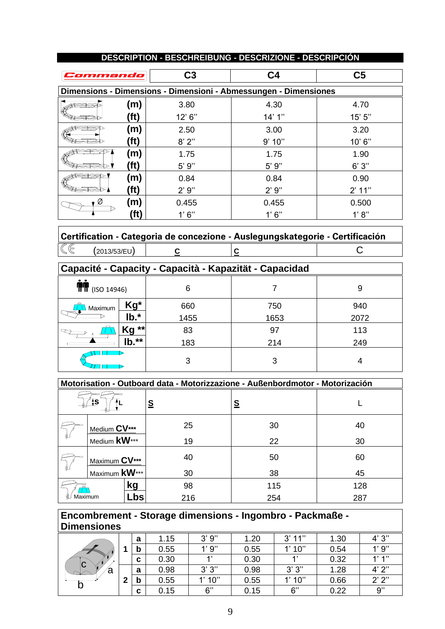| Commando |                                                                  | C <sub>3</sub><br>C <sub>4</sub> |         | C <sub>5</sub> |  |  |
|----------|------------------------------------------------------------------|----------------------------------|---------|----------------|--|--|
|          | Dimensions - Dimensions - Dimensioni - Abmessungen - Dimensiones |                                  |         |                |  |  |
|          | (m)                                                              | 3.80                             | 4.30    | 4.70           |  |  |
|          | (ft)                                                             | 12' 6''                          | 14'1''  | 15' 5''        |  |  |
|          | (m)                                                              | 2.50                             | 3.00    | 3.20           |  |  |
|          | (ft)                                                             | 8'2''                            | 9'10"   | 10'6''         |  |  |
|          | (m)                                                              | 1.75                             | 1.75    | 1.90           |  |  |
| ベスナ      | (ft)                                                             | $5'$ $9''$                       | $5'$ 9" | 6'3''          |  |  |
|          | (m)                                                              | 0.84                             | 0.84    | 0.90           |  |  |
| رحلخت    | (ft)                                                             | 2'9''                            | 2'9''   | 2' 11''        |  |  |
| Ø        | (m)                                                              | 0.455                            | 0.455   | 0.500          |  |  |
|          | (fť                                                              | 1'6''                            | 1'6''   | 1' 8''         |  |  |

### **DESCRIPTION - BESCHREIBUNG - DESCRIZIONE - DESCRIPCIÓN**

|    |              |  | Certification - Categoria de concezione - Auslegungskategorie - Certificación |
|----|--------------|--|-------------------------------------------------------------------------------|
| IŒ | (2013/53/EU) |  |                                                                               |

 $\Gamma$ 

| Capacité - Capacity - Capacità - Kapazität - Capacidad |                   |      |      |      |  |
|--------------------------------------------------------|-------------------|------|------|------|--|
| $T/T$ (ISO 14946)                                      |                   | 6    |      | 9    |  |
| Maximum                                                | Kg*               | 660  | 750  | 940  |  |
|                                                        | $\mathsf{lb}.^*$  | 1455 | 1653 | 2072 |  |
|                                                        | Kg **             | 83   | 97   | 113  |  |
|                                                        | $\mathsf{lb.*}^*$ | 183  | 214  | 249  |  |
|                                                        |                   | 3    | 3    | 4    |  |

|         | Motorisation - Outboard data - Motorizzazione - Außenbordmotor - Motorización |          |          |     |  |
|---------|-------------------------------------------------------------------------------|----------|----------|-----|--|
|         | ‡S                                                                            | <u>s</u> | <u>s</u> |     |  |
|         | Medium CV***                                                                  | 25       | 30       | 40  |  |
|         | Medium <b>kW</b> ***                                                          | 19       | 22       | 30  |  |
|         | Maximum CV***                                                                 | 40       | 50       | 60  |  |
|         | Maximum <b>kW</b> ***                                                         | 30       | 38       | 45  |  |
|         | kg                                                                            | 98       | 115      | 128 |  |
| Maximum | _bs                                                                           | 216      | 254      | 287 |  |

### **Encombrement - Storage dimensions - Ingombro - Packmaße - Dimensiones**

| $\overline{\mathsf{C}}$<br>ã |   | a | 1.15 | 3'9'' | 1.20 | 3'11'' | 1.30 | 4'3'' |
|------------------------------|---|---|------|-------|------|--------|------|-------|
|                              |   | b | 0.55 | 1'9'' | 0.55 | 1'10'' | 0.54 | 1'9'' |
|                              |   | C | 0.30 |       | 0.30 |        | 0.32 | 1'1'' |
|                              |   | a | 0.98 | 3'3'' | 0.98 | 3'3''  | 1.28 | 4'2'' |
|                              | າ | b | 0.55 | 1'10" | 0.55 | .10"   | 0.66 | 2'2'' |
| ັບ                           |   | C | 0.15 | 6"    | 0.15 | 6"     | 0.22 | 9"    |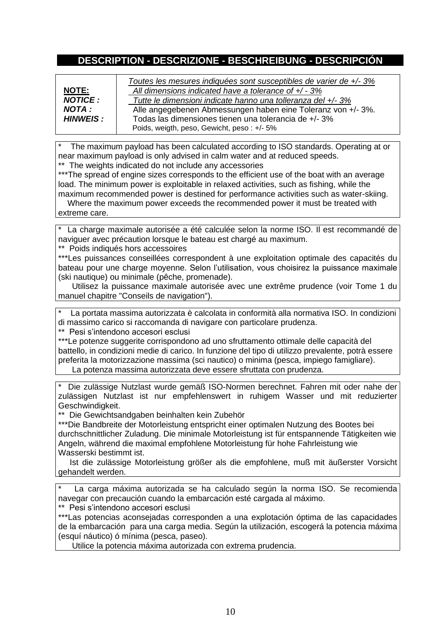### **DESCRIPTION - DESCRIZIONE - BESCHREIBUNG - DESCRIPCIÓN**

| <b>NOTE:</b><br><b>NOTICE:</b><br>NOTA :<br>HINWEIS: | Toutes les mesures indiquées sont susceptibles de varier de +/- 3%<br>All dimensions indicated have a tolerance of $+/-3\%$<br>Tutte le dimensioni indicate hanno una tolleranza del +/- 3%<br>Alle angegebenen Abmessungen haben eine Toleranz von +/- 3%.<br>Todas las dimensiones tienen una tolerancia de +/- 3%<br>Poids, weigth, peso, Gewicht, peso: +/- 5% |
|------------------------------------------------------|--------------------------------------------------------------------------------------------------------------------------------------------------------------------------------------------------------------------------------------------------------------------------------------------------------------------------------------------------------------------|

The maximum payload has been calculated according to ISO standards. Operating at or near maximum payload is only advised in calm water and at reduced speeds. \*\* The weights indicated do not include any accessories

\*\*\*The spread of engine sizes corresponds to the efficient use of the boat with an average load. The minimum power is exploitable in relaxed activities, such as fishing, while the maximum recommended power is destined for performance activities such as water-skiing.

 Where the maximum power exceeds the recommended power it must be treated with extreme care.

\* La charge maximale autorisée a été calculée selon la norme ISO. Il est recommandé de naviguer avec précaution lorsque le bateau est chargé au maximum.

\*\* Poids indiqués hors accessoires

\*\*\*Les puissances conseillées correspondent à une exploitation optimale des capacités du bateau pour une charge moyenne. Selon l'utilisation, vous choisirez la puissance maximale (ski nautique) ou minimale (pêche, promenade).

 Utilisez la puissance maximale autorisée avec une extrême prudence (voir Tome 1 du manuel chapitre "Conseils de navigation").

La portata massima autorizzata è calcolata in conformità alla normativa ISO. In condizioni di massimo carico si raccomanda di navigare con particolare prudenza.

\*\* Pesi s'intendono accesori esclusi

\*\*\*Le potenze suggerite corrispondono ad uno sfruttamento ottimale delle capacità del battello, in condizioni medie di carico. In funzione del tipo di utilizzo prevalente, potrà essere preferita la motorizzazione massima (sci nautico) o minima (pesca, impiego famigliare).

La potenza massima autorizzata deve essere sfruttata con prudenza.

Die zulässige Nutzlast wurde gemäß ISO-Normen berechnet. Fahren mit oder nahe der zulässigen Nutzlast ist nur empfehlenswert in ruhigem Wasser und mit reduzierter Geschwindigkeit.

\*\* Die Gewichtsandgaben beinhalten kein Zubehör

\*\*\*Die Bandbreite der Motorleistung entspricht einer optimalen Nutzung des Bootes bei durchschnittlicher Zuladung. Die minimale Motorleistung ist für entspannende Tätigkeiten wie Angeln, während die maximal empfohlene Motorleistung für hohe Fahrleistung wie Wasserski bestimmt ist.

 Ist die zulässige Motorleistung größer als die empfohlene, muß mit äußerster Vorsicht gehandelt werden.

La carga máxima autorizada se ha calculado según la norma ISO. Se recomienda navegar con precaución cuando la embarcación esté cargada al máximo.

\*\*Pesi s'intendono accesori esclusi

\*\*\*Las potencias aconsejadas corresponden a una explotación óptima de las capacidades de la embarcación para una carga media. Según la utilización, escogerá la potencia máxima (esquí náutico) ó mínima (pesca, paseo).

Utilice la potencia máxima autorizada con extrema prudencia.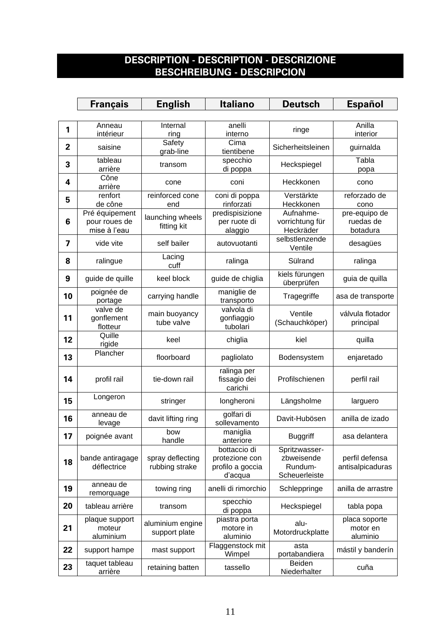# **DESCRIPTION - DESCRIPTION - DESCRIZIONE BESCHREIBUNG - DESCRIPCION**

|                | <b>Français</b>                                 | <b>English</b>                     | <b>Italiano</b>                                               | <b>Deutsch</b>                                          | <b>Español</b>                         |
|----------------|-------------------------------------------------|------------------------------------|---------------------------------------------------------------|---------------------------------------------------------|----------------------------------------|
|                |                                                 |                                    |                                                               |                                                         |                                        |
| 1              | Anneau<br>intérieur                             | Internal<br>ring                   | anelli<br>interno                                             | ringe                                                   | Anilla<br>interior                     |
| $\overline{2}$ | saisine                                         | Safety<br>grab-line                | Cima<br>tientibene                                            | Sicherheitsleinen                                       | guirnalda                              |
| 3              | tableau<br>arrière                              | transom                            | specchio<br>di poppa                                          | Heckspiegel                                             | Tabla<br>popa                          |
| 4              | Cône<br>arrière                                 | cone                               | coni                                                          | Heckkonen                                               | cono                                   |
| 5              | renfort<br>de cône                              | reinforced cone<br>end             | coni di poppa<br>rinforzati                                   | Verstärkte<br>Heckkonen                                 | reforzado de<br>cono                   |
| 6              | Pré équipement<br>pour roues de<br>mise à l'eau | launching wheels<br>fitting kit    | predispisizione<br>per ruote di<br>alaggio                    | Aufnahme-<br>vorrichtung für<br>Heckräder               | pre-equipo de<br>ruedas de<br>botadura |
| 7              | vide vite                                       | self bailer                        | autovuotanti                                                  | selbstlenzende<br>Ventile                               | desagües                               |
| 8              | ralingue                                        | Lacing<br>cuff                     | ralinga                                                       | Sülrand                                                 | ralinga                                |
| 9              | guide de quille                                 | keel block                         | guide de chiglia                                              | kiels fürungen<br>überprüfen                            | guia de quilla                         |
| 10             | poignée de<br>portage                           | carrying handle                    | maniglie de<br>transporto                                     | Tragegriffe                                             | asa de transporte                      |
| 11             | valve de<br>gonflement<br>flotteur              | main buoyancy<br>tube valve        | valvola di<br>gonfiaggio<br>tubolari                          | Ventile<br>(Schauchköper)                               | válvula flotador<br>principal          |
| 12             | Quille<br>rigide                                | keel                               | chiglia                                                       | kiel                                                    | quilla                                 |
| 13             | Plancher                                        | floorboard                         | pagliolato                                                    | Bodensystem                                             | enjaretado                             |
| 14             | profil rail                                     | tie-down rail                      | ralinga per<br>fissagio dei<br>carichi                        | Profilschienen                                          | perfil rail                            |
| 15             | Longeron                                        | stringer                           | longheroni                                                    | Längsholme                                              | larguero                               |
| 16             | anneau de<br>levage                             | davit lifting ring                 | golfari di<br>sollevamento                                    | Davit-Hubösen                                           | anilla de izado                        |
| 17             | poignée avant                                   | bow<br>handle                      | maniglia<br>anteriore                                         | <b>Buggriff</b>                                         | asa delantera                          |
| 18             | bande antiragage<br>déflectrice                 | spray deflecting<br>rubbing strake | bottaccio di<br>protezione con<br>profilo a goccia<br>d'acqua | Spritzwasser-<br>zbweisende<br>Rundum-<br>Scheuerleiste | perfil defensa<br>antisalpicaduras     |
| 19             | anneau de<br>remorquage                         | towing ring                        | anelli di rimorchio                                           | Schleppringe                                            | anilla de arrastre                     |
| 20             | tableau arrière                                 | transom                            | specchio<br>di poppa                                          | Heckspiegel                                             | tabla popa                             |
| 21             | plaque support<br>moteur<br>aluminium           | aluminium engine<br>support plate  | piastra porta<br>motore in<br>aluminio                        | alu-<br>Motordruckplatte                                | placa soporte<br>motor en<br>aluminio  |
| 22             | support hampe                                   | mast support                       | Flaggenstock mit<br>Wimpel                                    | asta<br>portabandiera                                   | mástil y banderín                      |
| 23             | taquet tableau<br>arrière                       | retaining batten                   | tassello                                                      | Beiden<br>Niederhalter                                  | cuña                                   |